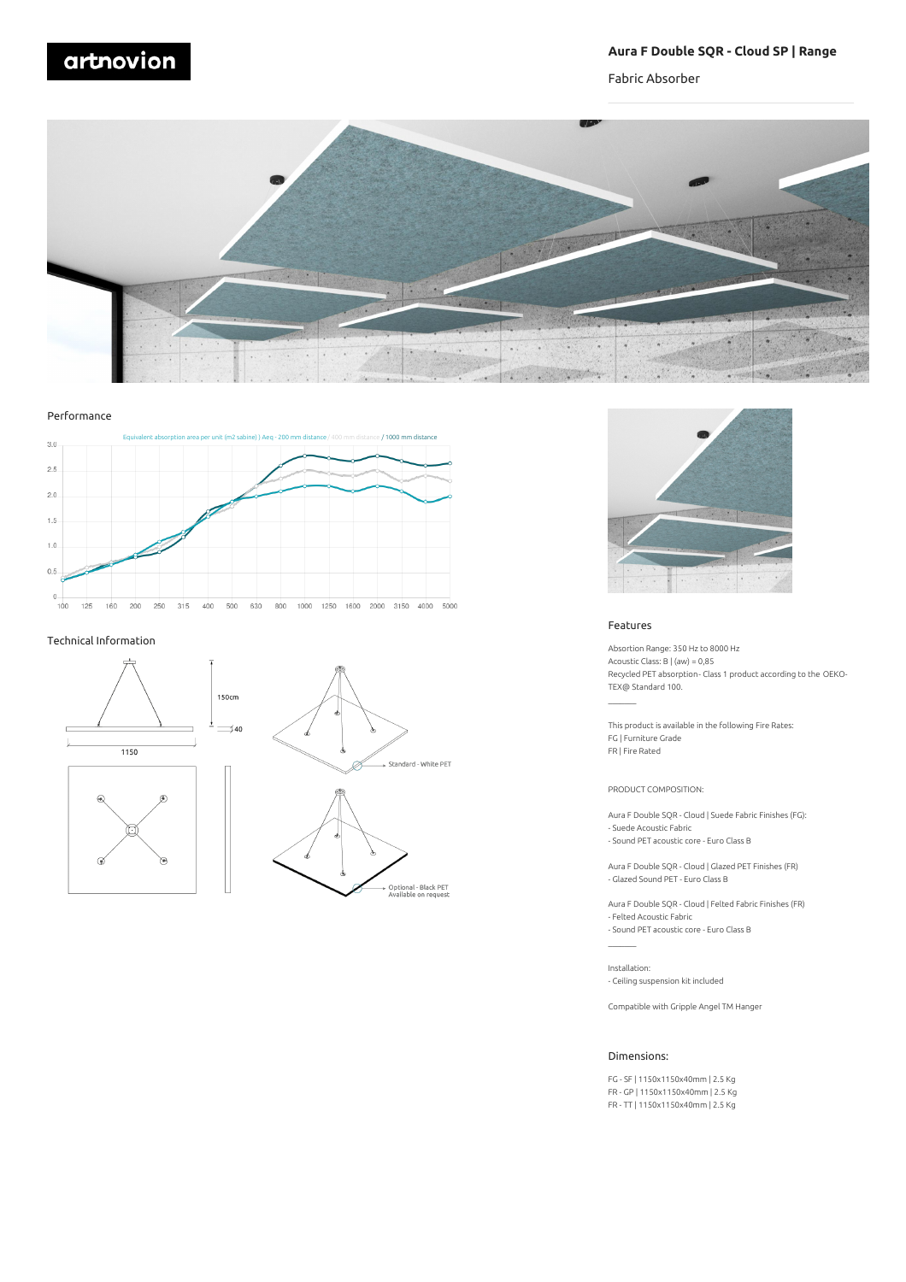# artnovion

# **Aura F Double SQR - Cloud SP | Range**

Fabric Absorber



Performance



#### Technical Information

 $\overline{G}$ 





Optional - Black PET<br>Available on request



#### Features

Absortion Range: 350 Hz to 8000 Hz Acoustic Class: B | (aw) = 0,85 Recycled PET absorption- Class 1 product according to the OEKO-TEX@ Standard 100.

This product is available in the following Fire Rates: FG | Furniture Grade FR | Fire Rated

PRODUCT COMPOSITION:

Aura F Double SQR - Cloud | Suede Fabric Finishes (FG): - Suede Acoustic Fabric

- Sound PET acoustic core - Euro Class B

Aura F Double SQR - Cloud | Glazed PET Finishes (FR) - Glazed Sound PET - Euro Class B

Aura F Double SQR - Cloud | Felted Fabric Finishes (FR) - Felted Acoustic Fabric - Sound PET acoustic core - Euro Class B

Installation: - Ceiling suspension kit included

Compatible with Gripple Angel TM Hanger

## Dimensions:

FG - SF | 1150x1150x40mm | 2.5 Kg FR - GP | 1150x1150x40mm | 2.5 Kg FR - TT | 1150x1150x40mm | 2.5 Kg